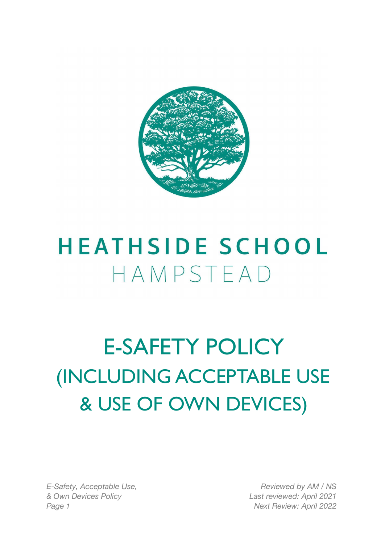

## **HEATHSIDE SCHOOL** HAMPSTEAD

## E-SAFETY POLICY (INCLUDING ACCEPTABLE USE & USE OF OWN DEVICES)

*E-Safety, Acceptable Use, & Own Devices Policy Page 1 Next Review: April 2022*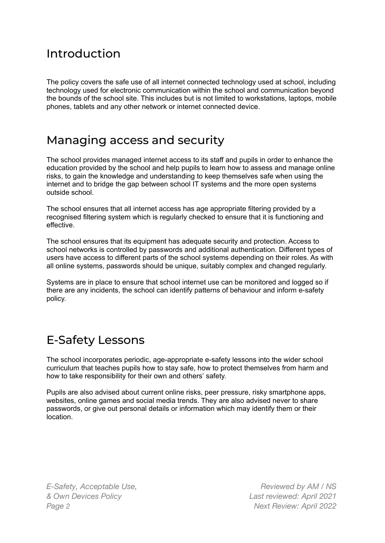#### Introduction

The policy covers the safe use of all internet connected technology used at school, including technology used for electronic communication within the school and communication beyond the bounds of the school site. This includes but is not limited to workstations, laptops, mobile phones, tablets and any other network or internet connected device.

#### Managing access and security

The school provides managed internet access to its staff and pupils in order to enhance the education provided by the school and help pupils to learn how to assess and manage online risks, to gain the knowledge and understanding to keep themselves safe when using the internet and to bridge the gap between school IT systems and the more open systems outside school.

The school ensures that all internet access has age appropriate filtering provided by a recognised filtering system which is regularly checked to ensure that it is functioning and effective.

The school ensures that its equipment has adequate security and protection. Access to school networks is controlled by passwords and additional authentication. Different types of users have access to different parts of the school systems depending on their roles. As with all online systems, passwords should be unique, suitably complex and changed regularly.

Systems are in place to ensure that school internet use can be monitored and logged so if there are any incidents, the school can identify patterns of behaviour and inform e-safety policy.

### E-Safety Lessons

The school incorporates periodic, age-appropriate e-safety lessons into the wider school curriculum that teaches pupils how to stay safe, how to protect themselves from harm and how to take responsibility for their own and others' safety.

Pupils are also advised about current online risks, peer pressure, risky smartphone apps, websites, online games and social media trends. They are also advised never to share passwords, or give out personal details or information which may identify them or their location.

*E-Safety, Acceptable Use, & Own Devices Policy Page 2 Next Review: April 2022*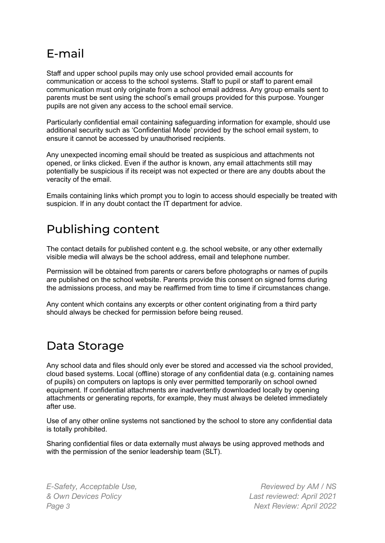### E-mail

Staff and upper school pupils may only use school provided email accounts for communication or access to the school systems. Staff to pupil or staff to parent email communication must only originate from a school email address. Any group emails sent to parents must be sent using the school's email groups provided for this purpose. Younger pupils are not given any access to the school email service.

Particularly confidential email containing safeguarding information for example, should use additional security such as 'Confidential Mode' provided by the school email system, to ensure it cannot be accessed by unauthorised recipients.

Any unexpected incoming email should be treated as suspicious and attachments not opened, or links clicked. Even if the author is known, any email attachments still may potentially be suspicious if its receipt was not expected or there are any doubts about the veracity of the email.

Emails containing links which prompt you to login to access should especially be treated with suspicion. If in any doubt contact the IT department for advice.

### Publishing content

The contact details for published content e.g. the school website, or any other externally visible media will always be the school address, email and telephone number.

Permission will be obtained from parents or carers before photographs or names of pupils are published on the school website. Parents provide this consent on signed forms during the admissions process, and may be reaffirmed from time to time if circumstances change.

Any content which contains any excerpts or other content originating from a third party should always be checked for permission before being reused.

#### Data Storage

Any school data and files should only ever be stored and accessed via the school provided, cloud based systems. Local (offline) storage of any confidential data (e.g. containing names of pupils) on computers on laptops is only ever permitted temporarily on school owned equipment. If confidential attachments are inadvertently downloaded locally by opening attachments or generating reports, for example, they must always be deleted immediately after use.

Use of any other online systems not sanctioned by the school to store any confidential data is totally prohibited.

Sharing confidential files or data externally must always be using approved methods and with the permission of the senior leadership team (SLT).

*E-Safety, Acceptable Use, & Own Devices Policy Page 3 Next Review: April 2022*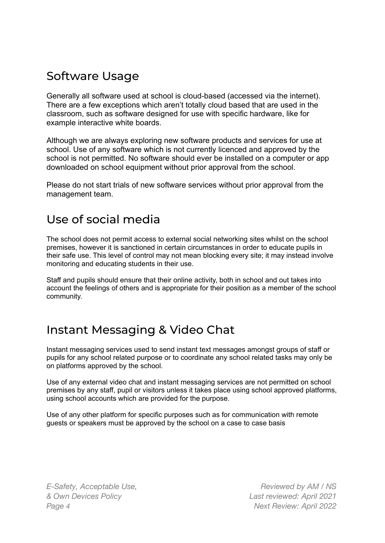### Software Usage

Generally all software used at school is cloud-based (accessed via the internet). There are a few exceptions which aren't totally cloud based that are used in the classroom, such as software designed for use with specific hardware, like for example interactive white boards.

Although we are always exploring new software products and services for use at school. Use of any software which is not currently licenced and approved by the school is not permitted. No software should ever be installed on a computer or app downloaded on school equipment without prior approval from the school.

Please do not start trials of new software services without prior approval from the management team.

#### Use of social media

The school does not permit access to external social networking sites whilst on the school premises, however it is sanctioned in certain circumstances in order to educate pupils in their safe use. This level of control may not mean blocking every site; it may instead involve monitoring and educating students in their use.

Staff and pupils should ensure that their online activity, both in school and out takes into account the feelings of others and is appropriate for their position as a member of the school community.

#### Instant Messaging & Video Chat

Instant messaging services used to send instant text messages amongst groups of staff or pupils for any school related purpose or to coordinate any school related tasks may only be on platforms approved by the school.

Use of any external video chat and instant messaging services are not permitted on school premises by any staff, pupil or visitors unless it takes place using school approved platforms, using school accounts which are provided for the purpose.

Use of any other platform for specific purposes such as for communication with remote guests or speakers must be approved by the school on a case to case basis

*E-Safety, Acceptable Use, & Own Devices Policy Page 4 Next Review: April 2022*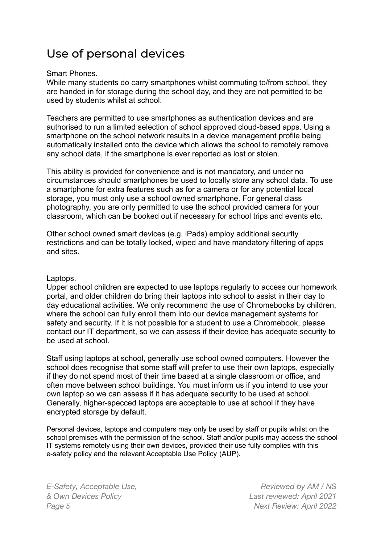### Use of personal devices

#### Smart Phones.

While many students do carry smartphones whilst commuting to/from school, they are handed in for storage during the school day, and they are not permitted to be used by students whilst at school.

Teachers are permitted to use smartphones as authentication devices and are authorised to run a limited selection of school approved cloud-based apps. Using a smartphone on the school network results in a device management profile being automatically installed onto the device which allows the school to remotely remove any school data, if the smartphone is ever reported as lost or stolen.

This ability is provided for convenience and is not mandatory, and under no circumstances should smartphones be used to locally store any school data. To use a smartphone for extra features such as for a camera or for any potential local storage, you must only use a school owned smartphone. For general class photography, you are only permitted to use the school provided camera for your classroom, which can be booked out if necessary for school trips and events etc.

Other school owned smart devices (e.g. iPads) employ additional security restrictions and can be totally locked, wiped and have mandatory filtering of apps and sites.

#### Laptops.

Upper school children are expected to use laptops regularly to access our homework portal, and older children do bring their laptops into school to assist in their day to day educational activities. We only recommend the use of Chromebooks by children, where the school can fully enroll them into our device management systems for safety and security. If it is not possible for a student to use a Chromebook, please contact our IT department, so we can assess if their device has adequate security to be used at school.

Staff using laptops at school, generally use school owned computers. However the school does recognise that some staff will prefer to use their own laptops, especially if they do not spend most of their time based at a single classroom or office, and often move between school buildings. You must inform us if you intend to use your own laptop so we can assess if it has adequate security to be used at school. Generally, higher-specced laptops are acceptable to use at school if they have encrypted storage by default.

Personal devices, laptops and computers may only be used by staff or pupils whilst on the school premises with the permission of the school. Staff and/or pupils may access the school IT systems remotely using their own devices, provided their use fully complies with this e-safety policy and the relevant Acceptable Use Policy (AUP).

*E-Safety, Acceptable Use, & Own Devices Policy Page 5 Next Review: April 2022*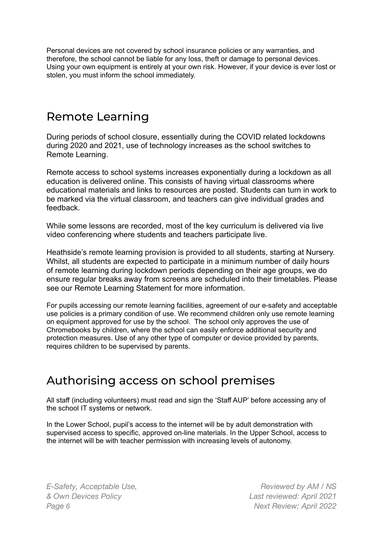Personal devices are not covered by school insurance policies or any warranties, and therefore, the school cannot be liable for any loss, theft or damage to personal devices. Using your own equipment is entirely at your own risk. However, if your device is ever lost or stolen, you must inform the school immediately.

#### Remote Learning

During periods of school closure, essentially during the COVID related lockdowns during 2020 and 2021, use of technology increases as the school switches to Remote Learning.

Remote access to school systems increases exponentially during a lockdown as all education is delivered online. This consists of having virtual classrooms where educational materials and links to resources are posted. Students can turn in work to be marked via the virtual classroom, and teachers can give individual grades and feedback.

While some lessons are recorded, most of the key curriculum is delivered via live video conferencing where students and teachers participate live.

Heathside's remote learning provision is provided to all students, starting at Nursery. Whilst, all students are expected to participate in a minimum number of daily hours of remote learning during lockdown periods depending on their age groups, we do ensure regular breaks away from screens are scheduled into their timetables. Please see our Remote Learning Statement for more information.

For pupils accessing our remote learning facilities, agreement of our e-safety and acceptable use policies is a primary condition of use. We recommend children only use remote learning on equipment approved for use by the school. The school only approves the use of Chromebooks by children, where the school can easily enforce additional security and protection measures. Use of any other type of computer or device provided by parents, requires children to be supervised by parents.

#### Authorising access on school premises

All staff (including volunteers) must read and sign the 'Staff AUP' before accessing any of the school IT systems or network.

In the Lower School, pupil's access to the internet will be by adult demonstration with supervised access to specific, approved on-line materials. In the Upper School, access to the internet will be with teacher permission with increasing levels of autonomy.

*E-Safety, Acceptable Use, & Own Devices Policy Page 6 Next Review: April 2022*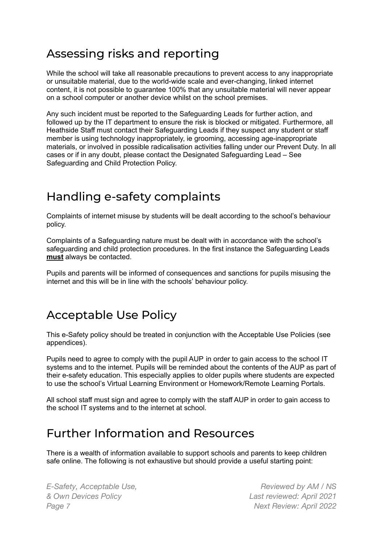#### Assessing risks and reporting

While the school will take all reasonable precautions to prevent access to any inappropriate or unsuitable material, due to the world-wide scale and ever-changing, linked internet content, it is not possible to guarantee 100% that any unsuitable material will never appear on a school computer or another device whilst on the school premises.

Any such incident must be reported to the Safeguarding Leads for further action, and followed up by the IT department to ensure the risk is blocked or mitigated. Furthermore, all Heathside Staff must contact their Safeguarding Leads if they suspect any student or staff member is using technology inappropriately, ie grooming, accessing age-inappropriate materials, or involved in possible radicalisation activities falling under our Prevent Duty. In all cases or if in any doubt, please contact the Designated Safeguarding Lead – See Safeguarding and Child Protection Policy.

#### Handling e-safety complaints

Complaints of internet misuse by students will be dealt according to the school's behaviour policy.

Complaints of a Safeguarding nature must be dealt with in accordance with the school's safeguarding and child protection procedures. In the first instance the Safeguarding Leads **must** always be contacted.

Pupils and parents will be informed of consequences and sanctions for pupils misusing the internet and this will be in line with the schools' behaviour policy.

#### Acceptable Use Policy

This e-Safety policy should be treated in conjunction with the Acceptable Use Policies (see appendices).

Pupils need to agree to comply with the pupil AUP in order to gain access to the school IT systems and to the internet. Pupils will be reminded about the contents of the AUP as part of their e-safety education. This especially applies to older pupils where students are expected to use the school's Virtual Learning Environment or Homework/Remote Learning Portals.

All school staff must sign and agree to comply with the staff AUP in order to gain access to the school IT systems and to the internet at school.

#### Further Information and Resources

There is a wealth of information available to support schools and parents to keep children safe online. The following is not exhaustive but should provide a useful starting point:

*E-Safety, Acceptable Use, & Own Devices Policy Page 7 Next Review: April 2022*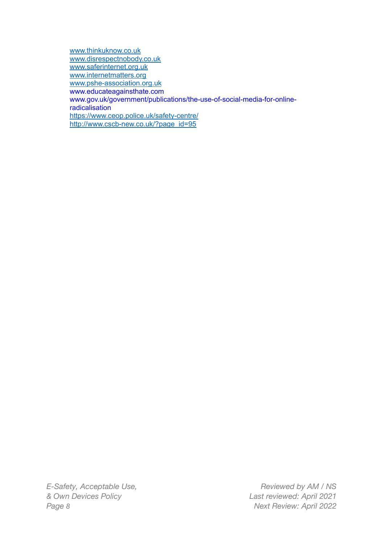[www.thinkuknow.co.uk](http://www.thinkuknow.co.uk) [www.disrespectnobody.co.uk](http://www.disrespectnobody.co.uk) [www.saferinternet.org.uk](http://www.saferinternet.org.uk) [www.internetmatters.org](http://www.internetmatters.org) [www.pshe-association.org.uk](http://www.pshe-association.org.uk) www.educateagainsthate.com www.gov.uk/government/publications/the-use-of-social-media-for-onlineradicalisation <https://www.ceop.police.uk/safety-centre/> [http://www.cscb-new.co.uk/?page\\_id=95](http://www.cscb-new.co.uk/?page_id=95)

*E-Safety, Acceptable Use, & Own Devices Policy Page 8 Next Review: April 2022*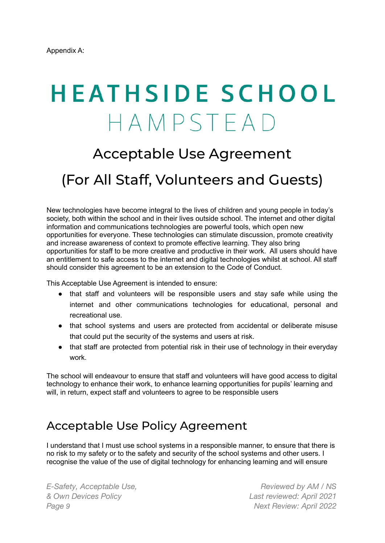# **HEATHSIDE SCHOOL** HAMPSTEAD

### Acceptable Use Agreement

### (For All Staff, Volunteers and Guests)

New technologies have become integral to the lives of children and young people in today's society, both within the school and in their lives outside school. The internet and other digital information and communications technologies are powerful tools, which open new opportunities for everyone. These technologies can stimulate discussion, promote creativity and increase awareness of context to promote effective learning. They also bring opportunities for staff to be more creative and productive in their work. All users should have an entitlement to safe access to the internet and digital technologies whilst at school. All staff should consider this agreement to be an extension to the Code of Conduct.

This Acceptable Use Agreement is intended to ensure:

- that staff and volunteers will be responsible users and stay safe while using the internet and other communications technologies for educational, personal and recreational use.
- that school systems and users are protected from accidental or deliberate misuse that could put the security of the systems and users at risk.
- that staff are protected from potential risk in their use of technology in their everyday work.

The school will endeavour to ensure that staff and volunteers will have good access to digital technology to enhance their work, to enhance learning opportunities for pupils' learning and will, in return, expect staff and volunteers to agree to be responsible users

#### Acceptable Use Policy Agreement

I understand that I must use school systems in a responsible manner, to ensure that there is no risk to my safety or to the safety and security of the school systems and other users. I recognise the value of the use of digital technology for enhancing learning and will ensure

*E-Safety, Acceptable Use, & Own Devices Policy Page 9 Next Review: April 2022*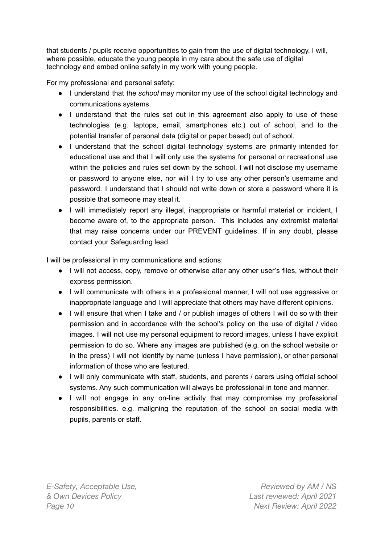that students / pupils receive opportunities to gain from the use of digital technology. I will, where possible, educate the young people in my care about the safe use of digital technology and embed online safety in my work with young people.

For my professional and personal safety:

- I understand that the *school* may monitor my use of the school digital technology and communications systems.
- I understand that the rules set out in this agreement also apply to use of these technologies (e.g. laptops, email, smartphones etc.) out of school, and to the potential transfer of personal data (digital or paper based) out of school.
- I understand that the school digital technology systems are primarily intended for educational use and that I will only use the systems for personal or recreational use within the policies and rules set down by the school. I will not disclose my username or password to anyone else, nor will I try to use any other person's username and password. I understand that I should not write down or store a password where it is possible that someone may steal it.
- I will immediately report any illegal, inappropriate or harmful material or incident, I become aware of, to the appropriate person. This includes any extremist material that may raise concerns under our PREVENT guidelines. If in any doubt, please contact your Safeguarding lead.

I will be professional in my communications and actions:

- I will not access, copy, remove or otherwise alter any other user's files, without their express permission.
- I will communicate with others in a professional manner, I will not use aggressive or inappropriate language and I will appreciate that others may have different opinions.
- I will ensure that when I take and / or publish images of others I will do so with their permission and in accordance with the school's policy on the use of digital / video images. I will not use my personal equipment to record images, unless I have explicit permission to do so. Where any images are published (e.g. on the school website or in the press) I will not identify by name (unless I have permission), or other personal information of those who are featured.
- I will only communicate with staff, students, and parents / carers using official school systems. Any such communication will always be professional in tone and manner.
- I will not engage in any on-line activity that may compromise my professional responsibilities. e.g. maligning the reputation of the school on social media with pupils, parents or staff.

*E-Safety, Acceptable Use, & Own Devices Policy Page 10 Next Review: April 2022*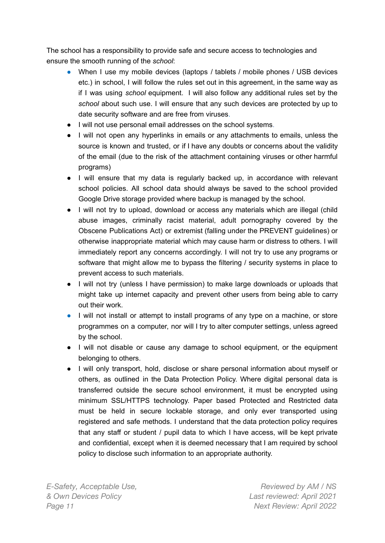The school has a responsibility to provide safe and secure access to technologies and ensure the smooth running of the *school*:

- When I use my mobile devices (laptops / tablets / mobile phones / USB devices etc.) in school, I will follow the rules set out in this agreement, in the same way as if I was using *school* equipment. I will also follow any additional rules set by the *school* about such use. I will ensure that any such devices are protected by up to date security software and are free from viruses.
- I will not use personal email addresses on the school systems.
- I will not open any hyperlinks in emails or any attachments to emails, unless the source is known and trusted, or if I have any doubts or concerns about the validity of the email (due to the risk of the attachment containing viruses or other harmful programs)
- I will ensure that my data is regularly backed up, in accordance with relevant school policies. All school data should always be saved to the school provided Google Drive storage provided where backup is managed by the school.
- I will not try to upload, download or access any materials which are illegal (child abuse images, criminally racist material, adult pornography covered by the Obscene Publications Act) or extremist (falling under the PREVENT guidelines) or otherwise inappropriate material which may cause harm or distress to others. I will immediately report any concerns accordingly. I will not try to use any programs or software that might allow me to bypass the filtering / security systems in place to prevent access to such materials.
- I will not try (unless I have permission) to make large downloads or uploads that might take up internet capacity and prevent other users from being able to carry out their work.
- I will not install or attempt to install programs of any type on a machine, or store programmes on a computer, nor will I try to alter computer settings, unless agreed by the school.
- I will not disable or cause any damage to school equipment, or the equipment belonging to others.
- I will only transport, hold, disclose or share personal information about myself or others, as outlined in the Data Protection Policy. Where digital personal data is transferred outside the secure school environment, it must be encrypted using minimum SSL/HTTPS technology. Paper based Protected and Restricted data must be held in secure lockable storage, and only ever transported using registered and safe methods. I understand that the data protection policy requires that any staff or student / pupil data to which I have access, will be kept private and confidential, except when it is deemed necessary that I am required by school policy to disclose such information to an appropriate authority.

*E-Safety, Acceptable Use, & Own Devices Policy Page 11 Next Review: April 2022*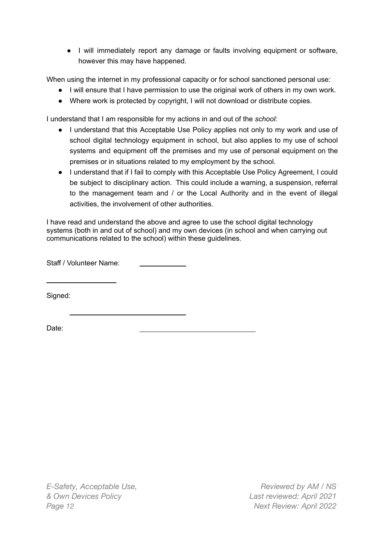● I will immediately report any damage or faults involving equipment or software, however this may have happened.

When using the internet in my professional capacity or for school sanctioned personal use:

- I will ensure that I have permission to use the original work of others in my own work.
- Where work is protected by copyright, I will not download or distribute copies.

I understand that I am responsible for my actions in and out of the *school*:

- I understand that this Acceptable Use Policy applies not only to my work and use of school digital technology equipment in school, but also applies to my use of school systems and equipment off the premises and my use of personal equipment on the premises or in situations related to my employment by the school.
- I understand that if I fail to comply with this Acceptable Use Policy Agreement, I could be subject to disciplinary action. This could include a warning, a suspension, referral to the management team and / or the Local Authority and in the event of illegal activities, the involvement of other authorities.

I have read and understand the above and agree to use the school digital technology systems (both in and out of school) and my own devices (in school and when carrying out communications related to the school) within these guidelines.

Staff / Volunteer Name:

Signed:

Date:

*E-Safety, Acceptable Use, & Own Devices Policy Page 12 Next Review: April 2022*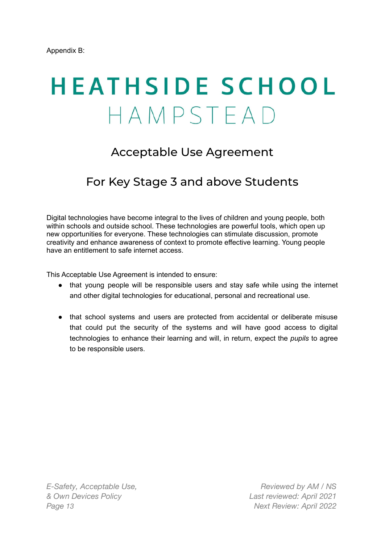# **HEATHSIDE SCHOOL** HAMPSTEAD

#### Acceptable Use Agreement

#### For Key Stage 3 and above Students

Digital technologies have become integral to the lives of children and young people, both within schools and outside school. These technologies are powerful tools, which open up new opportunities for everyone. These technologies can stimulate discussion, promote creativity and enhance awareness of context to promote effective learning. Young people have an entitlement to safe internet access.

This Acceptable Use Agreement is intended to ensure:

- that young people will be responsible users and stay safe while using the internet and other digital technologies for educational, personal and recreational use.
- that school systems and users are protected from accidental or deliberate misuse that could put the security of the systems and will have good access to digital technologies to enhance their learning and will, in return, expect the *pupils* to agree to be responsible users.

*E-Safety, Acceptable Use, & Own Devices Policy Page 13 Next Review: April 2022*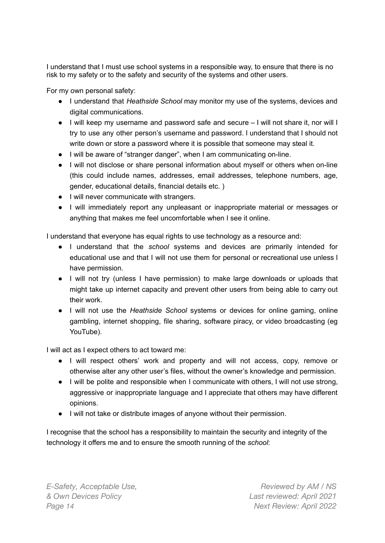I understand that I must use school systems in a responsible way, to ensure that there is no risk to my safety or to the safety and security of the systems and other users.

For my own personal safety:

- I understand that *Heathside School* may monitor my use of the systems, devices and digital communications.
- I will keep my username and password safe and secure I will not share it, nor will I try to use any other person's username and password. I understand that I should not write down or store a password where it is possible that someone may steal it.
- I will be aware of "stranger danger", when I am communicating on-line.
- I will not disclose or share personal information about myself or others when on-line (this could include names, addresses, email addresses, telephone numbers, age, gender, educational details, financial details etc. )
- I will never communicate with strangers.
- I will immediately report any unpleasant or inappropriate material or messages or anything that makes me feel uncomfortable when I see it online.

I understand that everyone has equal rights to use technology as a resource and:

- I understand that the *school* systems and devices are primarily intended for educational use and that I will not use them for personal or recreational use unless I have permission.
- I will not try (unless I have permission) to make large downloads or uploads that might take up internet capacity and prevent other users from being able to carry out their work.
- I will not use the *Heathside School* systems or devices for online gaming, online gambling, internet shopping, file sharing, software piracy, or video broadcasting (eg YouTube).

I will act as I expect others to act toward me:

- I will respect others' work and property and will not access, copy, remove or otherwise alter any other user's files, without the owner's knowledge and permission.
- I will be polite and responsible when I communicate with others, I will not use strong, aggressive or inappropriate language and I appreciate that others may have different opinions.
- I will not take or distribute images of anyone without their permission.

I recognise that the school has a responsibility to maintain the security and integrity of the technology it offers me and to ensure the smooth running of the *school*: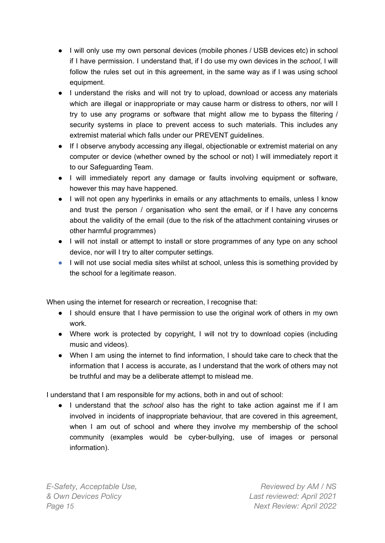- I will only use my own personal devices (mobile phones / USB devices etc) in school if I have permission. I understand that, if I do use my own devices in the *school*, I will follow the rules set out in this agreement, in the same way as if I was using school equipment.
- I understand the risks and will not try to upload, download or access any materials which are illegal or inappropriate or may cause harm or distress to others, nor will I try to use any programs or software that might allow me to bypass the filtering / security systems in place to prevent access to such materials. This includes any extremist material which falls under our PREVENT guidelines.
- If I observe anybody accessing any illegal, objectionable or extremist material on any computer or device (whether owned by the school or not) I will immediately report it to our Safeguarding Team.
- I will immediately report any damage or faults involving equipment or software, however this may have happened.
- I will not open any hyperlinks in emails or any attachments to emails, unless I know and trust the person / organisation who sent the email, or if I have any concerns about the validity of the email (due to the risk of the attachment containing viruses or other harmful programmes)
- I will not install or attempt to install or store programmes of any type on any school device, nor will I try to alter computer settings.
- I will not use social media sites whilst at school, unless this is something provided by the school for a legitimate reason.

When using the internet for research or recreation, I recognise that:

- I should ensure that I have permission to use the original work of others in my own work.
- Where work is protected by copyright, I will not try to download copies (including music and videos).
- When I am using the internet to find information, I should take care to check that the information that I access is accurate, as I understand that the work of others may not be truthful and may be a deliberate attempt to mislead me.

I understand that I am responsible for my actions, both in and out of school:

● I understand that the *school* also has the right to take action against me if I am involved in incidents of inappropriate behaviour, that are covered in this agreement, when I am out of school and where they involve my membership of the school community (examples would be cyber-bullying, use of images or personal information).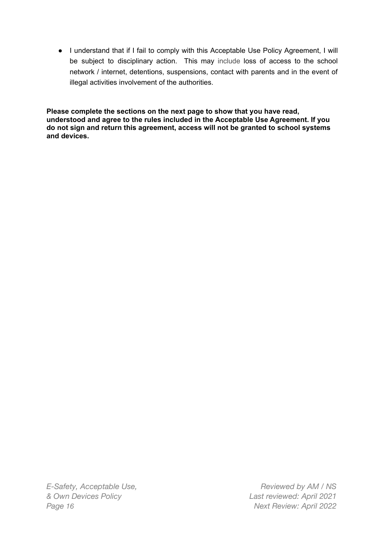● I understand that if I fail to comply with this Acceptable Use Policy Agreement, I will be subject to disciplinary action. This may include loss of access to the school network / internet, detentions, suspensions, contact with parents and in the event of illegal activities involvement of the authorities.

**Please complete the sections on the next page to show that you have read, understood and agree to the rules included in the Acceptable Use Agreement. If you do not sign and return this agreement, access will not be granted to school systems and devices.**

*E-Safety, Acceptable Use, & Own Devices Policy Page 16 Next Review: April 2022*